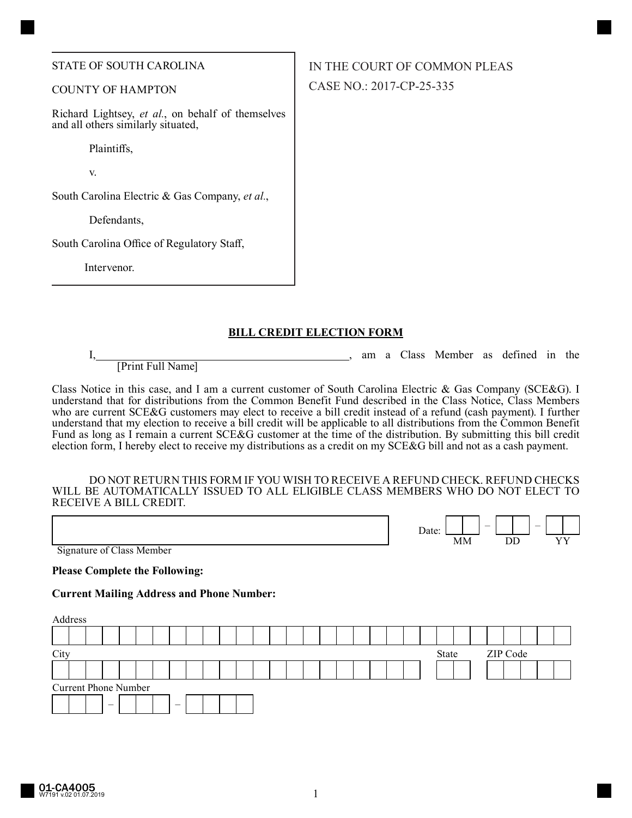#### STATE OF SOUTH CAROLINA

## COUNTY OF HAMPTON

Richard Lightsey, *et al.*, on behalf of themselves and all others similarly situated,

Plaintiffs,

v.

South Carolina Electric & Gas Company, *et al.*,

Defendants,

South Carolina Office of Regulatory Staff,

Intervenor.

# **BILL CREDIT ELECTION FORM**

[Print Full Name]

I, am a Class Member as defined in the

Date:  $\begin{array}{|c|c|c|c|c|}\n\hline\n\end{array}$  –  $\begin{array}{|c|c|c|c|}\n\hline\n\end{array}$  –  $\begin{array}{|c|c|c|c|}\n\hline\n\end{array}$  $MM$  DD

Class Notice in this case, and I am a current customer of South Carolina Electric & Gas Company (SCE&G). I understand that for distributions from the Common Benefit Fund described in the Class Notice, Class Members who are current SCE&G customers may elect to receive a bill credit instead of a refund (cash payment). I further understand that my election to receive a bill credit will be applicable to all distributions from the Common Benefit Fund as long as I remain a current SCE&G customer at the time of the distribution. By submitting this bill credit election form, I hereby elect to receive my distributions as a credit on my SCE&G bill and not as a cash payment.

#### DO NOT RETURN THIS FORM IF YOU WISH TO RECEIVE A REFUND CHECK. REFUND CHECKS WILL BE AUTOMATICALLY ISSUED TO ALL ELIGIBLE CLASS MEMBERS WHO DO NOT ELECT TO RECEIVE A BILL CREDIT.

Signature of Class Member

**Please Complete the Following:**

### **Current Mailing Address and Phone Number:**

| Address |                             |  |  |  |  |  |                          |  |  |  |  |  |  |  |  |       |  |  |          |  |  |  |  |  |  |  |
|---------|-----------------------------|--|--|--|--|--|--------------------------|--|--|--|--|--|--|--|--|-------|--|--|----------|--|--|--|--|--|--|--|
|         |                             |  |  |  |  |  |                          |  |  |  |  |  |  |  |  |       |  |  |          |  |  |  |  |  |  |  |
| City    |                             |  |  |  |  |  |                          |  |  |  |  |  |  |  |  | State |  |  | ZIP Code |  |  |  |  |  |  |  |
|         |                             |  |  |  |  |  |                          |  |  |  |  |  |  |  |  |       |  |  |          |  |  |  |  |  |  |  |
|         | <b>Current Phone Number</b> |  |  |  |  |  |                          |  |  |  |  |  |  |  |  |       |  |  |          |  |  |  |  |  |  |  |
|         |                             |  |  |  |  |  | $\overline{\phantom{0}}$ |  |  |  |  |  |  |  |  |       |  |  |          |  |  |  |  |  |  |  |

IN THE COURT OF COMMON PLEAS CASE NO.: 2017-CP-25-335